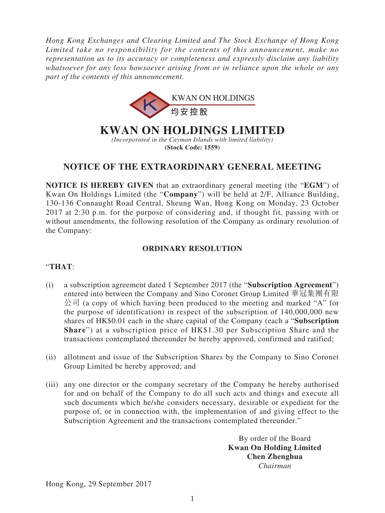*Hong Kong Exchanges and Clearing Limited and The Stock Exchange of Hong Kong Limited take no responsibility for the contents of this announcement, make no representation as to its accuracy or completeness and expressly disclaim any liability whatsoever for any loss howsoever arising from or in reliance upon the whole or any part of the contents of this announcement.*



# **KWAN ON HOLDINGS LIMITED**

*(Incorporated in the Cayman Islands with limited liability)* **(Stock Code: 1559)**

## **NOTICE OF THE EXTRAORDINARY GENERAL MEETING**

**NOTICE IS HEREBY GIVEN** that an extraordinary general meeting (the "**EGM**") of Kwan On Holdings Limited (the "**Company**") will be held at 2/F, Alliance Building, 130-136 Connaught Road Central, Sheung Wan, Hong Kong on Monday, 23 October 2017 at 2:30 p.m. for the purpose of considering and, if thought fit, passing with or without amendments, the following resolution of the Company as ordinary resolution of the Company:

### **ORDINARY RESOLUTION**

#### "**THAT**:

- (i) a subscription agreement dated 1 September 2017 (the "**Subscription Agreement**") entered into between the Company and Sino Coronet Group Limited 華冠集團有限 公司 (a copy of which having been produced to the meeting and marked "A" for the purpose of identification) in respect of the subscription of 140,000,000 new shares of HK\$0.01 each in the share capital of the Company (each a "**Subscription Share**") at a subscription price of HK\$1.30 per Subscription Share and the transactions contemplated thereunder be hereby approved, confirmed and ratified;
- (ii) allotment and issue of the Subscription Shares by the Company to Sino Coronet Group Limited be hereby approved; and
- (iii) any one director or the company secretary of the Company be hereby authorised for and on behalf of the Company to do all such acts and things and execute all such documents which he/she considers necessary, desirable or expedient for the purpose of, or in connection with, the implementation of and giving effect to the Subscription Agreement and the transactions contemplated thereunder."

By order of the Board **Kwan On Holding Limited Chen Zhenghua** *Chairman*

Hong Kong, 29 September 2017